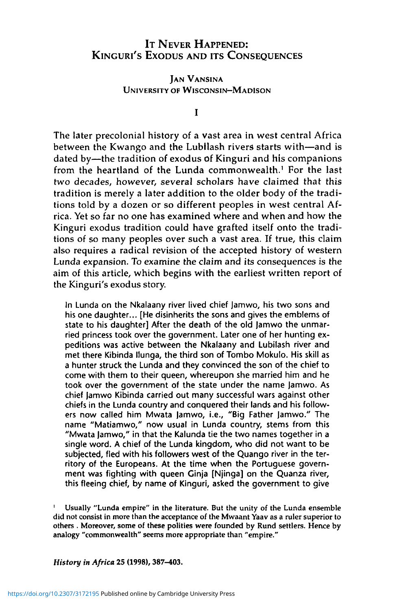# IT NEVER HAPPENED: KINGURI'S EXODUS AND ITS CONSEQUENCES

# JAN VANSINA UNIVERSITY OF WISCONSIN-MADISON

I

The later precolonial history of a vast area in west central Africa between the Kwango and the Lubilash rivers starts with—and is dated by—the tradition of exodus of Kinguri and his companions from the heartland of the Lunda commonwealth.' For the last two decades, however, several scholars have claimed that this tradition is merely a later addition to the older body of the traditions told by a dozen or so different peoples in west central Africa. Yet so far no one has examined where and when and how the Kinguri exodus tradition could have grafted itself onto the traditions of so many peoples over such a vast area. If true, this claim also requires a radical revision of the accepted history of western Lunda expansion. To examine the claim and its consequences is the aim of this article, which begins with the earliest written report of the Kinguri's exodus story.

In Lunda on the Nkalaany river lived chief Jamwo, his two sons and his one daughter... [He disinherits the sons and gives the emblems of state to his daughter] After the death of the old Jamwo the unmarried princess took over the government. Later one of her hunting expeditions was active between the Nkalaany and Lubilash river and met there Kibinda llunga, the third son of Tombo Mokulo. His skill as a hunter struck the Lunda and they convinced the son of the chief to come with them to their queen, whereupon she married him and he took over the government of the state under the name Jamwo. As chief Jamwo Kibinda carried out many successful wars against other chiefs in the Lunda country and conquered their lands and his followers now called him Mwata Jamwo, i.e., "Big Father Jamwo." The name "Matiamwo," now usual in Lunda country, stems from this "Mwata Jamwo," in that the Kalunda tie the two names together in a single word. A chief of the Lunda kingdom, who did not want to be subjected, fled with his followers west of the Quango river in the territory of the Europeans. At the time when the Portuguese government was fighting with queen Cinja [Njinga] on the Quanza river, this fleeing chief, by name of Kinguri, asked the government to give

**' Usually "Lunda empire" in the literature. But the unity of the Lunda ensemble did not consist in more than the acceptance of the Mwaant Yaav as a ruler superior to others . Moreover, some of these polities were founded by Rund settlers. Hence by analogy "commonwealth" seems more appropriate than "empire."**

*History in Africa* **25 (1998), 387-403.**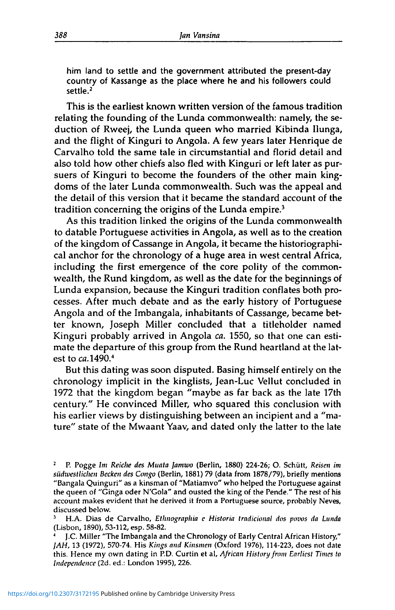him land to settle and the government attributed the present-day country of Kassange as the place where he and his followers could settle.<sup>2</sup>

This is the earliest known written version of the famous tradition relating the founding of the Lunda commonwealth: namely, the seduction of Rweej, the Lunda queen who married Kibinda Ilunga, and the flight of Kinguri to Angola. A few years later Henrique de Carvalho told the same tale in circumstantial and florid detail and also told how other chiefs also fled with Kinguri or left later as pursuers of Kinguri to become the founders of the other main kingdoms of the later Lunda commonwealth. Such was the appeal and the detail of this version that it became the standard account of the tradition concerning the origins of the Lunda empire.3

As this tradition linked the origins of the Lunda commonwealth to datable Portuguese activities in Angola, as well as to the creation of the kingdom of Cassange in Angola, it became the historiographical anchor for the chronology of a huge area in west central Africa, including the first emergence of the core polity of the commonwealth, the Rund kingdom, as well as the date for the beginnings of Lunda expansion, because the Kinguri tradition conflates both processes. After much debate and as the early history of Portuguese Angola and of the Imbangala, inhabitants of Cassange, became better known, Joseph Miller concluded that a titleholder named Kinguri probably arrived in Angola *ca.* 1550, so that one can estimate the departure of this group from the Rund heartland at the latest to  $ca.1490.4$ 

But this dating was soon disputed. Basing himself entirely on the chronology implicit in the kinglists, Jean-Luc Vellut concluded in 1972 that the kingdom began "maybe as far back as the late 17th century." He convinced Miller, who squared this conclusion with his earlier views by distinguishing between an incipient and a "mature" state of the Mwaant Yaav, and dated only the latter to the late

 H.A. Dias de Carvalho, *Ethnographia e Historia traditional dos povos da Lunda* (Lisbon, 1890), 53-112, esp. 58-82. <sup>4</sup>

 J.C. Miller "The Imbangala and the Chronology of Early Central African History," *JAH,* 13 (1972), 570-74. His *Kings and Kinsmen* (Oxford 1976), 114-223, does not date this. Hence my own dating in P.D. Curtin et al, *African History from Earliest Times to Independence* (2d. ed.: London 1995), 226.

<sup>2</sup> P. Pogge *Im Reiche des Muata famwo* (Berlin, 1880) 224-26; O. Schiitt, *Reisen im siidiuestliclten Beckcn des Congo* (Berlin, 1881) 79 (data from 1878/79), briefly mentions "Bangala Quinguri" as a kinsman of "Matiamvo" who helped the Portuguese against the queen of "Ginga oder N'Gola" and ousted the king of the Pende." The rest of his account makes evident that he derived it from a Portuguese source, probably Neves, discussed below. <sup>3</sup>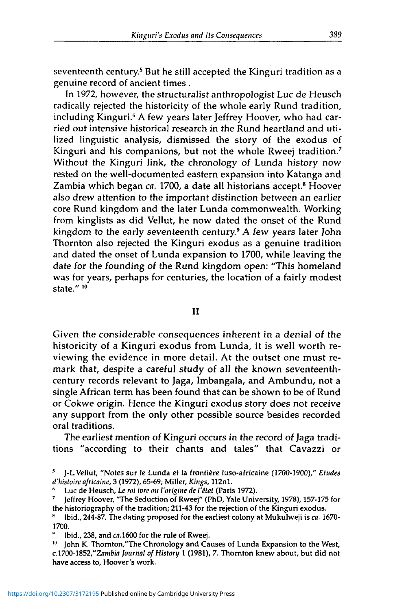seventeenth century.<sup>5</sup> But he still accepted the Kinguri tradition as a genuine record of ancient times .

In 1972, however, the structuralist anthropologist Luc de Heusch radically rejected the historicity of the whole early Rund tradition, including Kinguri.<sup>6</sup> A few years later Jeffrey Hoover, who had carried out intensive historical research in the Rund heartland and utilized linguistic analysis, dismissed the story of the exodus of Kinguri and his companions, but not the whole Rweej tradition.7 Without the Kinguri link, the chronology of Lunda history now rested on the well-documented eastern expansion into Katanga and Zambia which began *ca.* 1700, a date all historians accept.8 Hoover also drew attention to the important distinction between an earlier core Rund kingdom and the later Lunda commonwealth. Working from kinglists as did Vellut, he now dated the onset of the Rund kingdom to the early seventeenth century.9 A few years later John Thornton also rejected the Kinguri exodus as a genuine tradition and dated the onset of Lunda expansion to 1700, while leaving the date for the founding of the Rund kingdom open: "This homeland was for years, perhaps for centuries, the location of a fairly modest state."  $10$ 

## II

Given the considerable consequences inherent in a denial of the historicity of a Kinguri exodus from Lunda, it is well worth reviewing the evidence in more detail. At the outset one must remark that, despite a careful study of all the known seventeenthcentury records relevant to Jaga, Imbangala, and Ambundu, not a single African term has been found that can be shown to be of Rund or Cokwe origin. Hence the Kinguri exodus story does not receive any support from the only other possible source besides recorded oral traditions.

The earliest mention of Kinguri occurs in the record of Jaga traditions "according to their chants and tales" that Cavazzi or

<sup>5</sup> J-L.Vellut, "Notes sur le Lunda et la frontiere luso-africaine (1700-1900)," *Etudes d'histoire africaine,* 3 (1972), 65-69; Miller, *Kings,* 112nl.

<sup>\*</sup> Luc de Heusch, *Le mi ivre ou I'origine de Vitat* (Paris 1972). *<sup>7</sup>*

Jeffrey Hoover, "The Seduction of Rweej" (PhD, Yale University, 1978), 157-175 for the historiography of the tradition; 211-43 for the rejection of the Kinguri exodus.

<sup>\*</sup> Ibid., 244-87. The dating proposed for the earliest colony at Mukulweji is *ca.* 1670- 1700.

<sup>&</sup>lt;sup>9</sup> Ibid., 238, and  $ca.1600$  for the rule of Rweej.<br><sup>10</sup> Iohn K. Thornton."The Chronology and Ca

<sup>&#</sup>x27;" John K. Thornton,"The Chronology and Causes of Lunda Expansion to the West, c.1700-1852,"Zambia Journal of History 1 (1981), 7. Thornton knew about, but did not have access to, Hoover's work.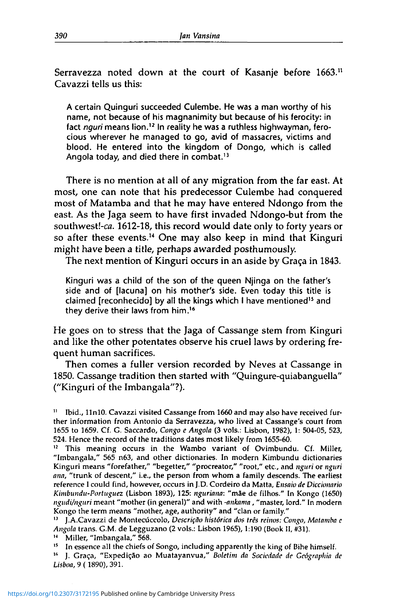Serravezza noted down at the court of Kasanje before 1663." Cavazzi tells us this:

A certain Quinguri succeeded Culembe. He was a man worthy of his name, not because of his magnanimity but because of his ferocity: in fact nguri means lion.<sup>12</sup> In reality he was a ruthless highwayman, ferocious wherever he managed to go, avid of massacres, victims and blood. He entered into the kingdom of Dongo, which is called Angola today, and died there in combat.<sup>13</sup>

There is no mention at all of any migration from the far east. At most, one can note that his predecessor Culembe had conquered most of Matamba and that he may have entered Ndongo from the east. As the Jaga seem to have first invaded Ndongo-but from the southwestl-ca. 1612-18, this record would date only to forty years or so after these events.<sup>14</sup> One may also keep in mind that Kinguri might have been a title, perhaps awarded posthumously.

The next mention of Kinguri occurs in an aside by Gra^a in 1843.

Kinguri was a child of the son of the queen Njinga on the father's side and of [lacuna] on his mother's side. Even today this title is claimed [reconhecido] by all the kings which I have mentioned<sup>15</sup> and they derive their laws from him.<sup>16</sup>

He goes on to stress that the Jaga of Cassange stem from Kinguri and like the other potentates observe his cruel laws by ordering frequent human sacrifices.

Then comes a fuller version recorded by Neves at Cassange in 1850. Cassange tradition then started with "Quingure-quiabanguella" ("Kinguri of the Imbangala"?).

<sup>11</sup> Ibid., llnlO. Cavazzi visited Cassange from 1660 and may also have received further information from Antonio da Serravezza, who lived at Cassange's court from 1655 to 1659. Cf. G. Saccardo, *Congo e Angola* (3 vols.: Lisbon, 1982), 1: 504-05, 523, 524. Hence the record of the traditions dates most likely from 1655-60.

<sup>&</sup>lt;sup>12</sup> This meaning occurs in the Wambo variant of Ovimbundu. Cf. Miller, "Imbangala," 565 n63, and other dictionaries. In modern Kimbundu dictionaries Kinguri means "forefather," "begetter," "procreator," "root," etc., and *nguri* or *nguri ana,* "trunk of descent," i.e., the person from whom a family descends. The earliest reference I could find, however, occurs in J.D. Cordeiro da Matta, *Ensaio de Dicciomrio Kimbundu-Portuguez* (Lisbon 1893), 125: *nguriana:* "m3e de filhos." In Kongo (1650) *ngudi/nguri* meant "mother (in general)" and with *-ankama,* "master, lord." In modern Kongo the term means "mother, age, authority" and "clan or family."

<sup>&</sup>lt;sup>13</sup> J.A.Cavazzi de Montecúccolo, Descrição histórica dos três reinos: Congo, Matamba e *Angola* trans. G.M. de Legguzano (2 vols.: Lisbon 1965), 1:190 (Book II, #31).

<sup>&</sup>lt;sup>14</sup> Miller, "Imbangala," 568.

 $15$  In essence all the chiefs of Songo, including apparently the king of Bihe himself.

*<sup>&</sup>quot;•* J. Graca, "Expedicao ao Muatayanvua," *Boletim da Socicdadc de Geographia de* Lisbon, 9 (1890), 391.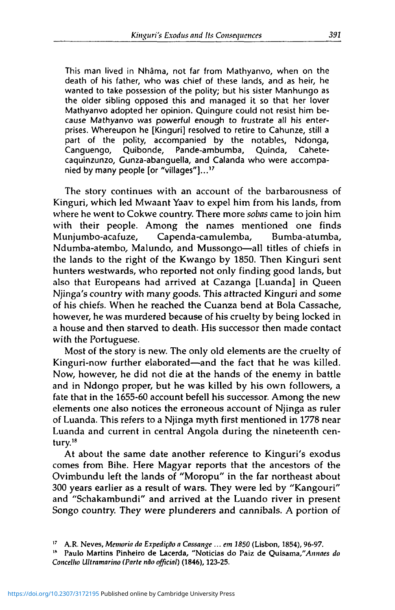This man lived in Nhama, not far from Mathyanvo, when on the death of his father, who was chief of these lands, and as heir, he wanted to take possession of the polity; but his sister Manhungo as the older sibling opposed this and managed it so that her lover Mathyanvo adopted her opinion. Quingure could not resist him because Mathyanvo was powerful enough to frustrate all his enterprises. Whereupon he [Kinguri] resolved to retire to Cahunze, still a part of the polity, accompanied by the notables, Ndonga, Canguengo, Quibonde, Pande-ambumba, Quinda, Cahetecaquinzunzo, Cunza-abanguella, and Calanda who were accompanied by many people [or "villages"]...'<sup>7</sup>

The story continues with an account of the barbarousness of Kinguri, which led Mwaant Yaav to expel him from his lands, from where he went to Cokwe country. There more *sobas* came to join him with their people. Among the names mentioned one finds Munjumbo-acafuze, Capenda-camulemba, Bumba-atumba, Ndumba-atembo, Malundo, and Mussongo—all titles of chiefs in the lands to the right of the Kwango by 1850. Then Kinguri sent hunters westwards, who reported not only finding good lands, but also that Europeans had arrived at Cazanga [Luanda] in Queen Njinga's country with many goods. This attracted Kinguri and some of his chiefs. When he reached the Cuanza bend at Bola Cassache, however, he was murdered because of his cruelty by being locked in a house and then starved to death. His successor then made contact with the Portuguese.

Most of the story is new. The only old elements are the cruelty of Kinguri-now further elaborated—and the fact that he was killed. Now, however, he did not die at the hands of the enemy in battle and in Ndongo proper, but he was killed by his own followers, a fate that in the 1655-60 account befell his successor. Among the new elements one also notices the erroneous account of Njinga as ruler of Luanda. This refers to a Njinga myth first mentioned in 1778 near Luanda and current in central Angola during the nineteenth century.18

At about the same date another reference to Kinguri's exodus comes from Bihe. Here Magyar reports that the ancestors of the Ovimbundu left the lands of "Moropu" in the far northeast about 300 years earlier as a result of wars. They were led by "Kangouri" and "Schakambundi" and arrived at the Luando river in present Songo country. They were plunderers and cannibals. A portion of

<sup>17</sup> A.R. Neves, *Memoria da Expediclio a Cassange ... em 1850* (Lisbon, 1854), 96-97.

<sup>&</sup>lt;sup>18</sup> Paulo Martins Pinheiro de Lacerda, "Noticias do Paiz de Quisama,"Annaes do *Concelho Ultramarino (Parle nlto official)* (1846), 123-25.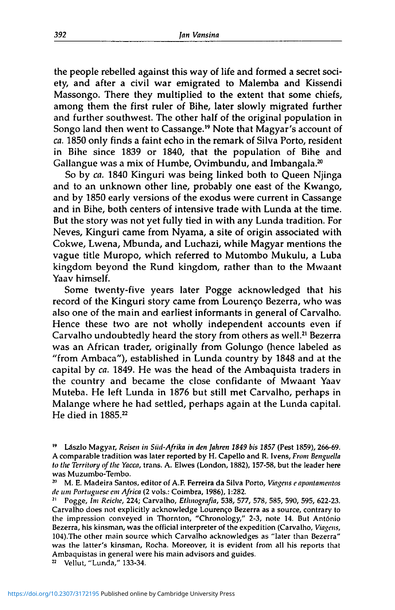the people rebelled against this way of life and formed a secret society, and after a civil war emigrated to Malemba and Kissendi Massongo. There they multiplied to the extent that some chiefs, among them the first ruler of Bihe, later slowly migrated further and further southwest. The other half of the original population in Songo land then went to Cassange.19 Note that Magyar's account of *ca.* 1850 only finds a faint echo in the remark of Silva Porto, resident in Bihe since 1839 or 1840, that the population of Bihe and Gallangue was a mix of Humbe, Ovimbundu, and Imbangala.<sup>20</sup>

So by *ca.* 1840 Kinguri was being linked both to Queen Njinga and to an unknown other line, probably one east of the Kwango, and by 1850 early versions of the exodus were current in Cassange and in Bihe, both centers of intensive trade with Lunda at the time. But the story was not yet fully tied in with any Lunda tradition. For Neves, Kinguri came from Nyama, a site of origin associated with Cokwe, Lwena, Mbunda, and Luchazi, while Magyar mentions the vague title Muropo, which referred to Mutombo Mukulu, a Luba kingdom beyond the Rund kingdom, rather than to the Mwaant Yaav himself.

Some twenty-five years later Pogge acknowledged that his record of the Kinguri story came from Lourenço Bezerra, who was also one of the main and earliest informants in general of Carvalho. Hence these two are not wholly independent accounts even if Carvalho undoubtedly heard the story from others as well.<sup>21</sup> Bezerra was an African trader, originally from Golungo (hence labeled as "from Ambaca"), established in Lunda country by 1848 and at the capital by *ca.* 1849. He was the head of the Ambaquista traders in the country and became the close confidante of Mwaant Yaav Muteba. He left Lunda in 1876 but still met Carvalho, perhaps in Malange where he had settled, perhaps again at the Lunda capital. He died in 1885.22

<sup>&</sup>lt;sup>19</sup> Lászlo Magyar, *Reisen in Süd-Afrika in den Jahren 1849 bis 1857* (Pest 1859), 266-69. A comparable tradition was later reported by H. Capello and R. Ivens, *From Benguella to the Territory of the Yacca,* trans. A. Elwes (London, 1882), 157-58, but the leader here was Muzumbo-Tembo.

M. E. Madeira Santos, editor of A.F. Ferreira da Silva Porto, *Viagens e apontamentos* de um Portuguese em Africa (2 vols.: Coimbra, 1986), 1:282.

Pogge, *Im Reiche,* 224; Carvalho, *Etlmografia,* 538, 577, 578, 585, 590, 595, 622-23. Carvalho does not explicitly acknowledge Lourenço Bezerra as a source, contrary to the impression conveyed in Thornton, "Chronology," 2-3, note 14. But Ant6nio Bezerra, his kinsman, was the official interpreter of the expedition (Carvalho, *Viagens,* 104).The other main source which Carvalho acknowledges as "later than Bezerra" was the latter's kinsman, Rocha. Moreover, it is evident from all his reports that Ambaquistas in general were his main advisors and guides.

Vellut, "Lunda," 133-34.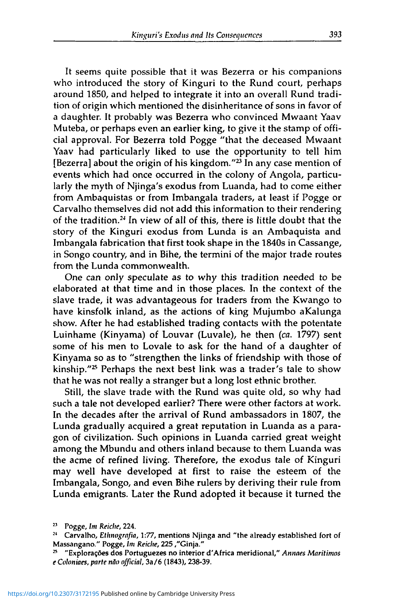It seems quite possible that it was Bezerra or his companions who introduced the story of Kinguri to the Rund court, perhaps around 1850, and helped to integrate it into an overall Rund tradition of origin which mentioned the disinheritance of sons in favor of a daughter. It probably was Bezerra who convinced Mwaant Yaav Muteba, or perhaps even an earlier king, to give it the stamp of official approval. For Bezerra told Pogge "that the deceased Mwaant Yaav had particularly liked to use the opportunity to tell him [Bezerra] about the origin of his kingdom."23 In any case mention of events which had once occurred in the colony of Angola, particularly the myth of Njinga's exodus from Luanda, had to come either from Ambaquistas or from Imbangala traders, at least if Pogge or Carvalho themselves did not add this information to their rendering of the tradition.24 In view of all of this, there is little doubt that the story of the Kinguri exodus from Lunda is an Ambaquista and Imbangala fabrication that first took shape in the 1840s in Cassange, in Songo country, and in Bihe, the termini of the major trade routes from the Lunda commonwealth.

One can only speculate as to why this tradition needed to be elaborated at that time and in those places. In the context of the slave trade, it was advantageous for traders from the Kwango to have kinsfolk inland, as the actions of king Mujumbo aKalunga show. After he had established trading contacts with the potentate Luinhame (Kinyama) of Louvar (Luvale), he then *(ca.* 1797) sent some of his men to Lovale to ask for the hand of a daughter of Kinyama so as to "strengthen the links of friendship with those of kinship."25 Perhaps the next best link was a trader's tale to show that he was not really a stranger but a long lost ethnic brother.

Still, the slave trade with the Rund was quite old, so why had such a tale not developed earlier? There were other factors at work. In the decades after the arrival of Rund ambassadors in 1807, the Lunda gradually acquired a great reputation in Luanda as a paragon of civilization. Such opinions in Luanda carried great weight among the Mbundu and others inland because to them Luanda was the acme of refined living. Therefore, the exodus tale of Kinguri may well have developed at first to raise the esteem of the Imbangala, Songo, and even Bihe rulers by deriving their rule from Lunda emigrants. Later the Rund adopted it because it turned the

<sup>&</sup>lt;sup>23</sup> Pogge, Im Reiche, 224.<br><sup>24</sup> Correlho, Ethnografia

Carvalho, *Etlmografia,* 1:77, mentions Njinga and "the already established fort of Massangano." Pogge, *lm Reiche,* 225 ,"Ginja." <sup>25</sup>

<sup>&</sup>lt;sup>25</sup> "Explorações dos Portuguezes no interior d'Africa meridional," Annaes Maritimos *e Cohniaes, parte nlio official,* 3a/6 (1843), 238-39.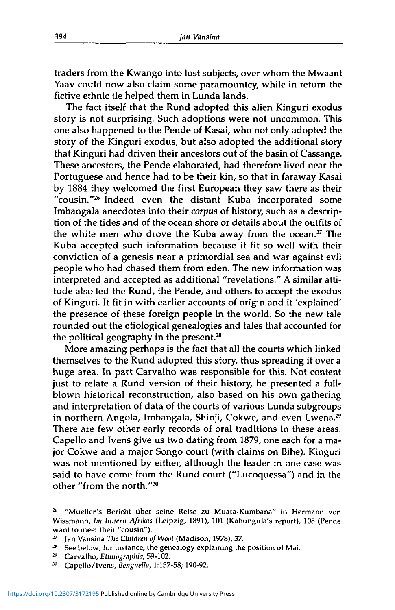traders from the Kwango into lost subjects, over whom the Mwaant Yaav could now also claim some paramountcy, while in return the fictive ethnic tie helped them in Lunda lands.

The fact itself that the Rund adopted this alien Kinguri exodus story is not surprising. Such adoptions were not uncommon. This one also happened to the Pende of Kasai, who not only adopted the story of the Kinguri exodus, but also adopted the additional story that Kinguri had driven their ancestors out of the basin of Cassange. These ancestors, the Pende elaborated, had therefore lived near the Portuguese and hence had to be their kin, so that in faraway Kasai by 1884 they welcomed the first European they saw there as their "cousin."26 Indeed even the distant Kuba incorporated some Imbangala anecdotes into their *corpus* of history, such as a description of the tides and of the ocean shore or details about the outfits of the white men who drove the Kuba away from the ocean.<sup>27</sup> The Kuba accepted such information because it fit so well with their conviction of a genesis near a primordial sea and war against evil people who had chased them from eden. The new information was interpreted and accepted as additional "revelations." A similar attitude also led the Rund, the Pende, and others to accept the exodus of Kinguri. It fit in with earlier accounts of origin and it 'explained' the presence of these foreign people in the world. So the new tale rounded out the etiological genealogies and tales that accounted for the political geography in the present.<sup>28</sup>

More amazing perhaps is the fact that all the courts which linked themselves to the Rund adopted this story, thus spreading it over a huge area. In part Carvalho was responsible for this. Not content just to relate a Rund version of their history, he presented a fullblown historical reconstruction, also based on his own gathering and interpretation of data of the courts of various Lunda subgroups in northern Angola, Imbangala, Shinji, Cokwe, and even Lwena.<sup>29</sup> There are few other early records of oral traditions in these areas. Capello and Ivens give us two dating from 1879, one each for a major Cokwe and a major Songo court (with claims on Bihe). Kinguri was not mentioned by either, although the leader in one case was said to have come from the Rund court ("Lucoquessa") and in the other "from the north."30

- <sup>29</sup> Carvalho, Ethnographia, 59-102.
- <sup>30</sup> Capello/Ivens, *Benguella*, 1:157-58; 190-92.

<sup>&</sup>lt;sup>26</sup> "Mueller's Bericht über seine Reise zu Muata-Kumbana" in Hermann von Wissmann, *lm Innern Afrikas* (Leipzig, 1891), 101 (Kahungula's report), 108 (Pende want to meet their "cousin").

<sup>&</sup>lt;sup>27</sup> Jan Vansina The Children of Woot (Madison, 1978), 37.

<sup>&</sup>lt;sup>28</sup> See below; for instance, the genealogy explaining the position of Mai.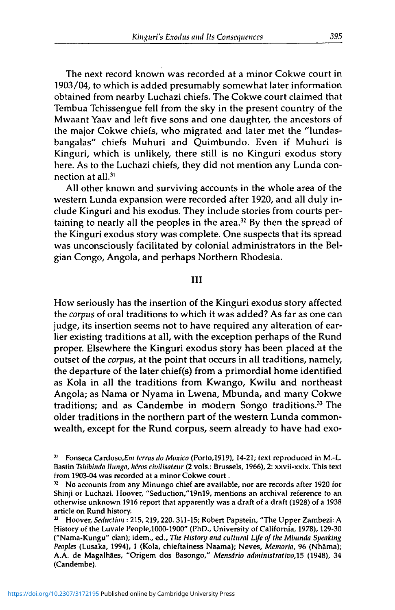The next record known was recorded at a minor Cokwe court in 1903/04, to which is added presumably somewhat later information obtained from nearby Luchazi chiefs. The Cokwe court claimed that Tembua Tchissengue fell from the sky in the present country of the Mwaant Yaav and left five sons and one daughter, the ancestors of the major Cokwe chiefs, who migrated and later met the "lundasbangalas" chiefs Muhuri and Quimbundo. Even if Muhuri is Kinguri, which is unlikely, there still is no Kinguri exodus story here. As to the Luchazi chiefs, they did not mention any Lunda connection at all.<sup>31</sup>

All other known and surviving accounts in the whole area of the western Lunda expansion were recorded after 1920, and all duly include Kinguri and his exodus. They include stories from courts pertaining to nearly all the peoples in the area.<sup>32</sup> By then the spread of the Kinguri exodus story was complete. One suspects that its spread was unconsciously facilitated by colonial administrators in the Belgian Congo, Angola, and perhaps Northern Rhodesia.

Ill

How seriously has the insertion of the Kinguri exodus story affected the *corpus* of oral traditions to which it was added? As far as one can judge, its insertion seems not to have required any alteration of earlier existing traditions at all, with the exception perhaps of the Rund proper. Elsewhere the Kinguri exodus story has been placed at the outset of the *corpus,* at the point that occurs in all traditions, namely, the departure of the later chief(s) from a primordial home identified as Kola in all the traditions from Kwango, Kwilu and northeast Angola; as Nama or Nyama in Lwena, Mbunda, and many Cokwe traditions; and as Candembe in modern Songo traditions.<sup>33</sup> The older traditions in the northern part of the western Lunda commonwealth, except for the Rund corpus, seem already to have had exo-

<sup>&</sup>lt;sup>31</sup> Fonseca Cardoso, Em terras do Moxico (Porto, 1919), 14-21; text reproduced in M.-L. Bastin *Tshibinda Ilunga, héros civilisateur* (2 vols.: Brussels, 1966), 2: xxvii-xxix. This text from 1903-04 was recorded at a minor Cokwe court.<br><sup>32</sup> No accounts from any Minungo chief are availab

No accounts from any Minungo chief are available, nor are records after 1920 for Shinji or Luchazi. Hoover, "Seduction,"19nl9, mentions an archival reference to an otherwise unknown 1916 report that apparently was a draft of a draft (1928) of a 1938 article on Rund history.

Hoover, *Seduction* : 215, 219, 220. 311-15; Robert Papstein, "The Upper Zambezi: A History of the Luvale People,1000-1900" (PhD., University of California, 1978), 129-30 ("Nama-Kungu" clan); idem., ed., *The History and cultural Life of the Mbunda Speaking Peoples* (Lusaka, 1994), 1 (Kola, chieftainess Naama); Neves, *Memoria,* 96 (Nhama); A.A. de Magalhães, "Origem dos Basongo," Mensário administrativo,15 (1948), 34 (Candembe).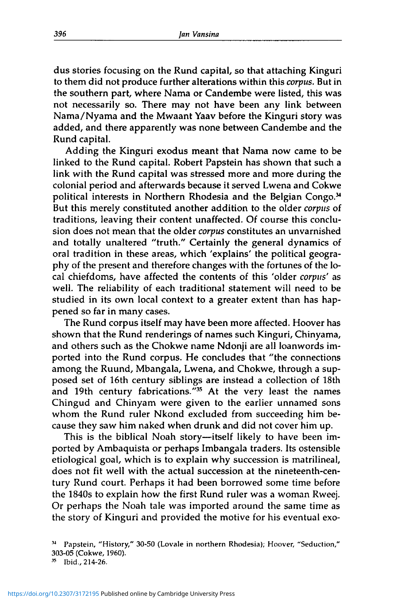dus stories focusing on the Rund capital, so that attaching Kinguri to them did not produce further alterations within this *corpus.* But in the southern part, where Nama or Candembe were listed, this was not necessarily so. There may not have been any link between Nama/Nyama and the Mwaant Yaav before the Kinguri story was added, and there apparently was none between Candembe and the Rund capital.

Adding the Kinguri exodus meant that Nama now came to be linked to the Rund capital. Robert Papstein has shown that such a link with the Rund capital was stressed more and more during the colonial period and afterwards because it served Lwena and Cokwe political interests in Northern Rhodesia and the Belgian Congo.<sup>34</sup> But this merely constituted another addition to the older *corpus* of traditions, leaving their content unaffected. Of course this conclusion does not mean that the older *corpus* constitutes an unvarnished and totally unaltered "truth." Certainly the general dynamics of oral tradition in these areas, which 'explains' the political geography of the present and therefore changes with the fortunes of the local chiefdoms, have affected the contents of this 'older *corpus'* as well. The reliability of each traditional statement will need to be studied in its own local context to a greater extent than has happened so far in many cases.

The Rund corpus itself may have been more affected. Hoover has shown that the Rund renderings of names such Kinguri, Chinyama, and others such as the Chokwe name Ndonji are all loanwords imported into the Rund corpus. He concludes that "the connections among the Ruund, Mbangala, Lwena, and Chokwe, through a supposed set of 16th century siblings are instead a collection of 18th and 19th century fabrications."35 At the very least the names Chingud and Chinyam were given to the earlier unnamed sons whom the Rund ruler Nkond excluded from succeeding him because they saw him naked when drunk and did not cover him up.

This is the biblical Noah story—itself likely to have been imported by Ambaquista or perhaps Imbangala traders. Its ostensible etiological goal, which is to explain why succession is matrilineal, does not fit well with the actual succession at the nineteenth-century Rund court. Perhaps it had been borrowed some time before the 1840s to explain how the first Rund ruler was a woman Rweej. Or perhaps the Noah tale was imported around the same time as the story of Kinguri and provided the motive for his eventual exo-

<sup>35</sup> Ibid., 214-26.

<sup>31</sup> Papstein, "History," 30-50 (Lovale in northern Rhodesia); Hoover, "Seduction," 303-05 (Cokwe, 1960).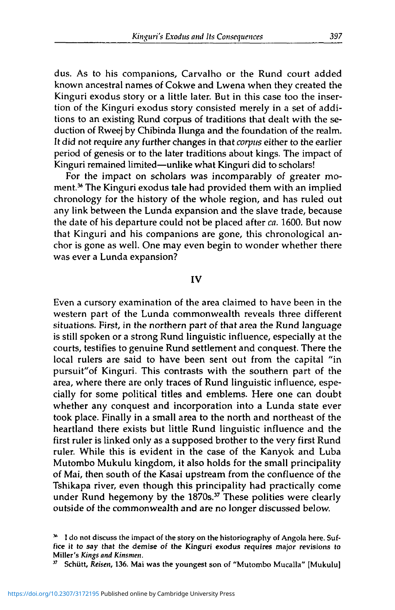dus. As to his companions, Carvalho or the Rund court added known ancestral names of Cokwe and Lwena when they created the Kinguri exodus story or a little later. But in this case too the insertion of the Kinguri exodus story consisted merely in a set of additions to an existing Rund corpus of traditions that dealt with the seduction of Rweej by Chibinda Ilunga and the foundation of the realm. It did not require any further changes in that *corpus* either to the earlier period of genesis or to the later traditions about kings. The impact of Kinguri remained limited—unlike what Kinguri did to scholars!

For the impact on scholars was incomparably of greater moment.<sup>36</sup> The Kinguri exodus tale had provided them with an implied chronology for the history of the whole region, and has ruled out any link between the Lunda expansion and the slave trade, because the date of his departure could not be placed after *ca.* 1600. But now that Kinguri and his companions are gone, this chronological anchor is gone as well. One may even begin to wonder whether there was ever a Lunda expansion?

#### IV

Even a cursory examination of the area claimed to have been in the western part of the Lunda commonwealth reveals three different situations. First, in the northern part of that area the Rund language is still spoken or a strong Rund linguistic influence, especially at the courts, testifies to genuine Rund settlement and conquest. There the local rulers are said to have been sent out from the capital "in pursuif'of Kinguri. This contrasts with the southern part of the area, where there are only traces of Rund linguistic influence, especially for some political titles and emblems. Here one can doubt whether any conquest and incorporation into a Lunda state ever took place. Finally in a small area to the north and northeast of the heartland there exists but little Rund linguistic influence and the first ruler is linked only as a supposed brother to the very first Rund ruler. While this is evident in the case of the Kanyok and Luba Mutombo Mukulu kingdom, it also holds for the small principality of Mai, then south of the Kasai upstream from the confluence of the Tshikapa river, even though this principality had practically come ishikapa river, even mough mis principanty had practically come<br>under Rund hegemony by the 1870s<sup>37</sup> These polities were clearly outside of the commonwealth and are no longer discussed below.

<sup>&</sup>lt;sup>36</sup> I do not discuss the impact of the story on the historiography of Angola here. Suffice it to say that the demise of the Kinguri exodus requires major revisions to Miller's *Kings and Kinsmen.* <sup>37</sup>

Schiitt, *Reisen,* 136. Mai was the youngest son of "Mutombo Mucalla" [Mukulu]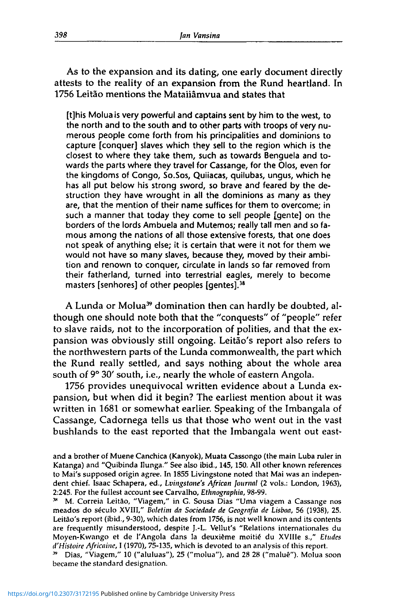As to the expansion and its dating, one early document directly attests to the reality of an expansion from the Rund heartland. In 1756 Leitao mentions the Mataiiamvua and states that

[t]his Molua is very powerful and captains sent by him to the west, to the north and to the south and to other parts with troops of very numerous people come forth from his principalities and dominions to capture [conquer] slaves which they sell to the region which is the closest to where they take them, such as towards Benguela and towards the parts where they travel for Cassange, for the Olos, even for the kingdoms of Congo, So.Sos, Quiiacas, quilubas, ungus, which he has all put below his strong sword, so brave and feared by the destruction they have wrought in all the dominions as many as they are, that the mention of their name suffices for them to overcome; in such a manner that today they come to sell people [gente] on the borders of the lords Ambuela and Mutemos; really tall men and so famous among the nations of all those extensive forests, that one does not speak of anything else; it is certain that were it not for them we would not have so many slaves, because they, moved by their ambition and renown to conquer, circulate in lands so far removed from their fatherland, turned into terrestrial eagles, merely to become masters [senhores] of other peoples [gentes].<sup>38</sup>

A Lunda or Molua<sup>39</sup> domination then can hardly be doubted, although one should note both that the "conquests" of "people" refer to slave raids, not to the incorporation of polities, and that the expansion was obviously still ongoing. Leitao's report also refers to the northwestern parts of the Lunda commonwealth, the part which the Rund really settled, and says nothing about the whole area south of 9° 30' south, i.e., nearly the whole of eastern Angola.

1756 provides unequivocal written evidence about a Lunda expansion, but when did it begin? The earliest mention about it was written in 1681 or somewhat earlier. Speaking of the Imbangala of Cassange, Cadornega tells us that those who went out in the vast bushlands to the east reported that the Imbangala went out east-

and a brother of Muene Canchica (Kanyok), Muata Cassongo (the main Luba ruler in Katanga) and "Quibinda Ilunga." See also ibid., 145,150. All other known references to Mai's supposed origin agree. In 1855 Livingstone noted that Mai was an independent chief. Isaac Schapera, ed., *Lvingstone's African journal* (2 vols.: London, 1963), 2:245. For the fullest account see Carvalho, *Etlmographia,* 98-99. *<sup>M</sup>* M. Correia Leitao, "Viagem," in G. Sousa Dias "Uma viagem a Cassange nos

meados do seculo XVIII," *Bolctim da Sociedade de Gcografia dc Lisbon,* 56 (1938), 25. Leitao's report (ibid., 9-30), which dates from 1756, is not well known and its contents are frequently misunderstood, despite J.-L. Vellut's "Relations internationales du Moyen-Kwango et de l'Angola dans la deuxieme moiti£ du XVIIIe s.," *Etudes d'Histoire Africaine,* I (1970), 75-135, which is devoted to an analysis of this report.

<sup>39</sup> Dias, "Viagem," 10 ("aluluas"), 25 ("molua"), and 28 28 ("maluê"). Molua soon became the standard designation.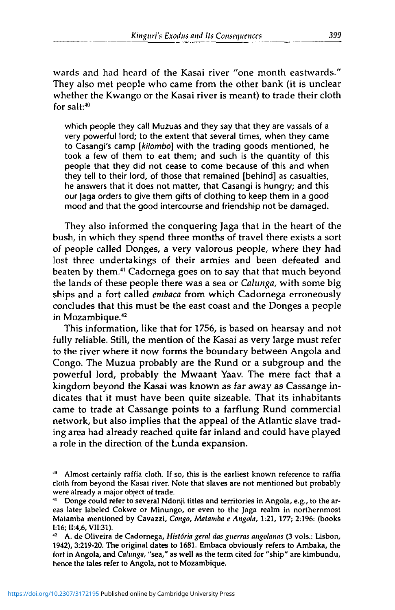wards and had heard of the Kasai river "one month eastwards." They also met people who came from the other bank (it is unclear whether the Kwango or the Kasai river is meant) to trade their cloth for salt:40

which people they call Muzuas and they say that they are vassals of a very powerful lord; to the extent that several times, when they came to Casangi's camp [kilombo] with the trading goods mentioned, he took a few of them to eat them; and such is the quantity of this people that they did not cease to come because of this and when they tell to their lord, of those that remained [behind] as casualties, he answers that it does not matter, that Casangi is hungry; and this our Jaga orders to give them gifts of clothing to keep them in a good mood and that the good intercourse and friendship not be damaged.

They also informed the conquering Jaga that in the heart of the bush, in which they spend three months of travel there exists a sort of people called Donges, a very valorous people, where they had lost three undertakings of their armies and been defeated and beaten by them.41 Cadornega goes on to say that that much beyond the lands of these people there was a sea or *Calunga,* with some big ships and a fort called *embaca* from which Cadornega erroneously concludes that this must be the east coast and the Donges a people in Mozambique.<sup>42</sup>

This information, like that for 1756, is based on hearsay and not fully reliable. Still, the mention of the Kasai as very large must refer to the river where it now forms the boundary between Angola and Congo. The Muzua probably are the Rund or a subgroup and the powerful lord, probably the Mwaant Yaav. The mere fact that a kingdom beyond the Kasai was known as far away as Cassange indicates that it must have been quite sizeable. That its inhabitants came to trade at Cassange points to a farflung Rund commercial network, but also implies that the appeal of the Atlantic slave trading area had already reached quite far inland and could have played a role in the direction of the Lunda expansion.

<sup>•&</sup>quot;' Almost certainly raffia cloth. If so, this is the earliest known reference to raffia cloth from beyond the Kasai river. Note that slaves are not mentioned but probably were already a major object of trade.

Donge could refer to several Ndonji titles and territories in Angola, e.g., to the areas later labeled Cokwe or Minungo, or even to the Jaga realm in northernmost Matamba mentioned by Cavazzi, *Congo, Matamba e Angola,* 1:21, 177; 2:196: (books 1:16; II:4,6, VII:31).

A. de Oliveira de Cadornega, *Histdria geral das guerras angolanas* (3 vols.: Lisbon, 1942), 3:219-20. The original dates to 1681. Embaca obviously refers to Ambaka, the fort in Angola, and *Calunga,* "sea," as well as the term cited for "ship" are kimbundu, hence the tales refer to Angola, not to Mozambique.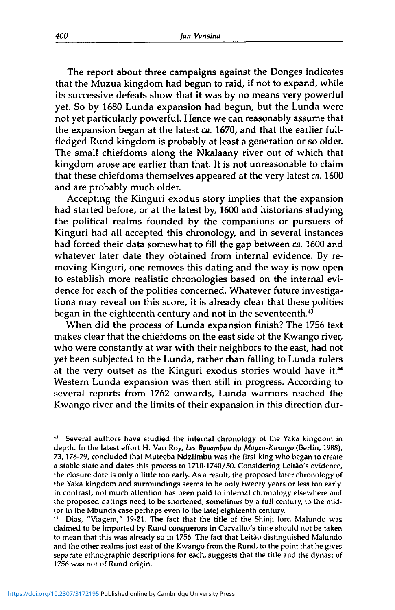The report about three campaigns against the Donges indicates that the Muzua kingdom had begun to raid, if not to expand, while its successive defeats show that it was by no means very powerful yet. So by 1680 Lunda expansion had begun, but the Lunda were not yet particularly powerful. Hence we can reasonably assume that the expansion began at the latest *ca.* 1670, and that the earlier fullfledged Rund kingdom is probably at least a generation or so older. The small chiefdoms along the Nkalaany river out of which that kingdom arose are earlier than that. It is not unreasonable to claim that these chiefdoms themselves appeared at the very latest *ca.* 1600 and are probably much older.

Accepting the Kinguri exodus story implies that the expansion had started before, or at the latest by, 1600 and historians studying the political realms founded by the companions or pursuers of Kinguri had all accepted this chronology, and in several instances had forced their data somewhat to fill the gap between *ca.* 1600 and whatever later date they obtained from internal evidence. By removing Kinguri, one removes this dating and the way is now open to establish more realistic chronologies based on the internal evidence for each of the polities concerned. Whatever future investigations may reveal on this score, it is already clear that these polities began in the eighteenth century and not in the seventeenth.<sup>43</sup>

When did the process of Lunda expansion finish? The 1756 text makes clear that the chiefdoms on the east side of the Kwango river, who were constantly at war with their neighbors to the east, had not yet been subjected to the Lunda, rather than falling to Lunda rulers at the very outset as the Kinguri exodus stories would have it.<sup>44</sup> Western Lunda expansion was then still in progress. According to several reports from 1762 onwards, Lunda warriors reached the Kwango river and the limits of their expansion in this direction dur-

<sup>&</sup>lt;sup>43</sup> Several authors have studied the internal chronology of the Yaka kingdom in depth. In the latest effort H. Van Roy, *Les Byaambuu du Moyen-Kwango* (Berlin, 1988), 73, 178-79, concluded that Muteeba Ndziimbu was the f the closure date is only a little too early. As a result, the proposed later chronology of<br>the Yaka kingdom and surroundings seems to be only twenty years or less too early.<br>In contrast, not much attention has been paid to

the proposed datings need to be shortened, sometimes by a full century, to the mid-<br>(or in the Mbunda case perhaps even to the late) eighteenth century.<br>
<sup>44</sup> Dias, "Viagem," 19-21. The fact that the title of the Shinji lo 1756 was not of Rund origin.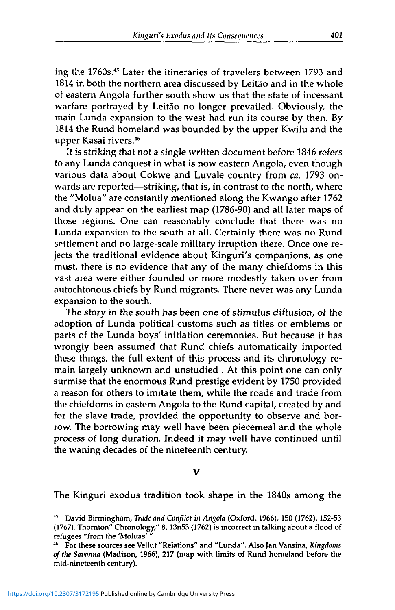ing the 1760s.<sup>45</sup> Later the itineraries of travelers between 1793 and 1814 in both the northern area discussed by Leitão and in the whole of eastern Angola further south show us that the state of incessant warfare portrayed by Leitao no longer prevailed. Obviously, the main Lunda expansion to the west had run its course by then. By 1814 the Rund homeland was bounded by the upper Kwilu and the upper Kasai rivers.46

It is striking that not a single written document before 1846 refers to any Lunda conquest in what is now eastern Angola, even though various data about Cokwe and Luvale country from *ca.* 1793 onwards are reported—striking, that is, in contrast to the north, where the "Molua" are constantly mentioned along the Kwango after 1762 and duly appear on the earliest map (1786-90) and all later maps of those regions. One can reasonably conclude that there was no Lunda expansion to the south at all. Certainly there was no Rund settlement and no large-scale military irruption there. Once one rejects the traditional evidence about Kinguri's companions, as one must, there is no evidence that any of the many chiefdoms in this vast area were either founded or more modestly taken over from autochtonous chiefs by Rund migrants. There never was any Lunda expansion to the south.

The story in the south has been one of stimulus diffusion, of the adoption of Lunda political customs such as titles or emblems or parts of the Lunda boys' initiation ceremonies. But because it has wrongly been assumed that Rund chiefs automatically imported these things, the full extent of this process and its chronology remain largely unknown and unstudied . At this point one can only surmise that the enormous Rund prestige evident by 1750 provided a reason for others to imitate them, while the roads and trade from the chiefdoms in eastern Angola to the Rund capital, created by and for the slave trade, provided the opportunity to observe and borrow. The borrowing may well have been piecemeal and the whole process of long duration. Indeed it may well have continued until the waning decades of the nineteenth century.

### V

The Kinguri exodus tradition took shape in the 1840s among the

<sup>45</sup> David Birmingham, *Trade and Conflict in Angola* (Oxford, 1966), 150 (1762), 152-53 (1767). Thornton" Chronology," 8,13n53 (1762) is incorrect in talking about a flood of refugees "from the 'Moluas'.

For these sources see Vellut "Relations" and "Lunda". Also Jan Vansina, *Kingdoms of the Savanna* (Madison, 1966), 217 (map with limits of Rund homeland before the mid-nineteenth century).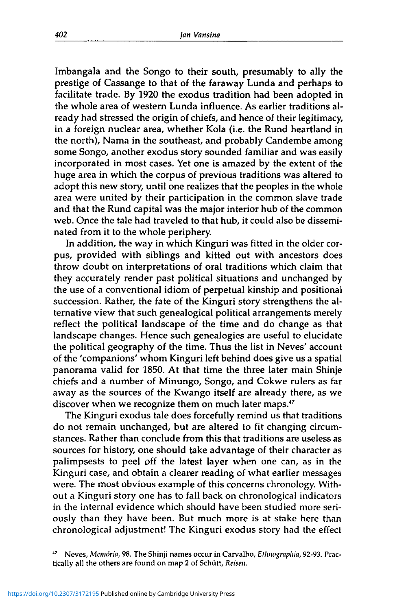Imbangala and the Songo to their south, presumably to ally the prestige of Cassange to that of the faraway Lunda and perhaps to facilitate trade. By 1920 the exodus tradition had been adopted in the whole area of western Lunda influence. As earlier traditions already had stressed the origin of chiefs, and hence of their legitimacy, in a foreign nuclear area, whether Kola (i.e. the Rund heartland in the north), Nama in the southeast, and probably Candembe among some Songo, another exodus story sounded familiar and was easily incorporated in most cases. Yet one is amazed by the extent of the huge area in which the corpus of previous traditions was altered to adopt this new story, until one realizes that the peoples in the whole area were united by their participation in the common slave trade and that the Rund capital was the major interior hub of the common web. Once the tale had traveled to that hub, it could also be disseminated from it to the whole periphery.

In addition, the way in which Kinguri was fitted in the older corpus, provided with siblings and kitted out with ancestors does throw doubt on interpretations of oral traditions which claim that they accurately render past political situations and unchanged by the use of a conventional idiom of perpetual kinship and positional succession. Rather, the fate of the Kinguri story strengthens the alternative view that such genealogical political arrangements merely reflect the political landscape of the time and do change as that landscape changes. Hence such genealogies are useful to elucidate the political geography of the time. Thus the list in Neves' account of the 'companions' whom Kinguri left behind does give us a spatial panorama valid for 1850. At that time the three later main Shinje chiefs and a number of Minungo, Songo, and Cokwe rulers as far away as the sources of the Kwango itself are already there, as we discover when we recognize them on much later maps.<sup>47</sup>

The Kinguri exodus tale does forcefully remind us that traditions do not remain unchanged, but are altered to fit changing circumstances. Rather than conclude from this that traditions are useless as sources for history, one should take advantage of their character as palimpsests to peel off the latest layer when one can, as in the Kinguri case, and obtain a clearer reading of what earlier messages were. The most obvious example of this concerns chronology. Without a Kinguri story one has to fall back on chronological indicators in the internal evidence which should have been studied more seriously than they have been. But much more is at stake here than chronological adjustment! The Kinguri exodus story had the effect

*<sup>&</sup>quot;* Neves, *Memoria,* 98. The Shinji names occur in Carvalho, *Ellmographia,* 92-93. Practically all the others are found on map 2 of Schiitt, *Reisen.*